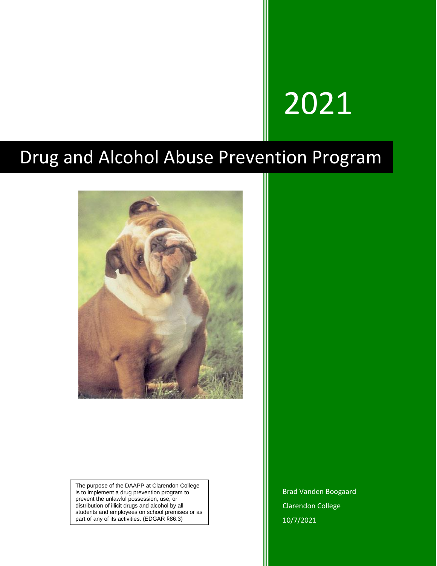# 2021

## Drug and Alcohol Abuse Prevention Program



The purpose of the DAAPP at Clarendon College is to implement a drug prevention program to prevent the unlawful possession, use, or distribution of illicit drugs and alcohol by all students and employees on school premises or as part of any of its activities. (EDGAR §86.3)

Brad Vanden Boogaard Clarendon College 10/7/2021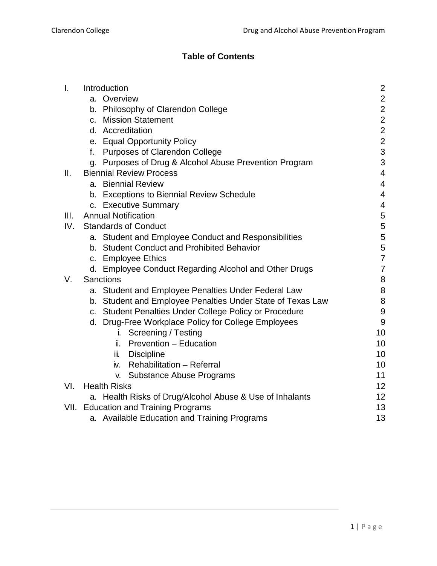#### **Table of Contents**

| $\mathsf{L}$ | Introduction                   |                                                            | $\overline{2}$   |
|--------------|--------------------------------|------------------------------------------------------------|------------------|
|              |                                | a. Overview                                                | $\mathbf 2$      |
|              |                                | b. Philosophy of Clarendon College                         | $\overline{2}$   |
|              |                                | c. Mission Statement                                       | $\overline{2}$   |
|              |                                | d. Accreditation                                           | $\overline{2}$   |
|              |                                | e. Equal Opportunity Policy                                | $\overline{2}$   |
|              |                                | f. Purposes of Clarendon College                           | 3                |
|              |                                | g. Purposes of Drug & Alcohol Abuse Prevention Program     | 3                |
| II.          | <b>Biennial Review Process</b> |                                                            | $\overline{4}$   |
|              |                                | a. Biennial Review                                         | $\overline{4}$   |
|              |                                | b. Exceptions to Biennial Review Schedule                  | $\overline{4}$   |
|              |                                | c. Executive Summary                                       | $\overline{4}$   |
| III.         |                                | <b>Annual Notification</b>                                 | 5                |
| IV.          | <b>Standards of Conduct</b>    | 5                                                          |                  |
|              |                                | a. Student and Employee Conduct and Responsibilities       | $\sqrt{5}$       |
|              |                                | b. Student Conduct and Prohibited Behavior                 | 5                |
|              |                                | c. Employee Ethics                                         | $\overline{7}$   |
|              |                                | d. Employee Conduct Regarding Alcohol and Other Drugs      | $\overline{7}$   |
| V.           | <b>Sanctions</b>               |                                                            |                  |
|              |                                | a. Student and Employee Penalties Under Federal Law        | 8                |
|              |                                | b. Student and Employee Penalties Under State of Texas Law | $\bf 8$          |
|              |                                | c. Student Penalties Under College Policy or Procedure     | $\boldsymbol{9}$ |
|              |                                | d. Drug-Free Workplace Policy for College Employees        | $9$              |
|              |                                | <b>Screening / Testing</b><br>i.                           | 10               |
|              |                                | Prevention - Education<br>ÏL.                              | 10               |
|              |                                | iii. Discipline                                            | 10               |
|              |                                | iv. Rehabilitation - Referral                              | 10               |
|              |                                | <b>Substance Abuse Programs</b><br>V.                      | 11               |
| VI.          |                                | <b>Health Risks</b>                                        | 12               |
|              |                                | a. Health Risks of Drug/Alcohol Abuse & Use of Inhalants   | 12               |
|              |                                | VII. Education and Training Programs                       | 13               |
|              |                                | a. Available Education and Training Programs               | 13               |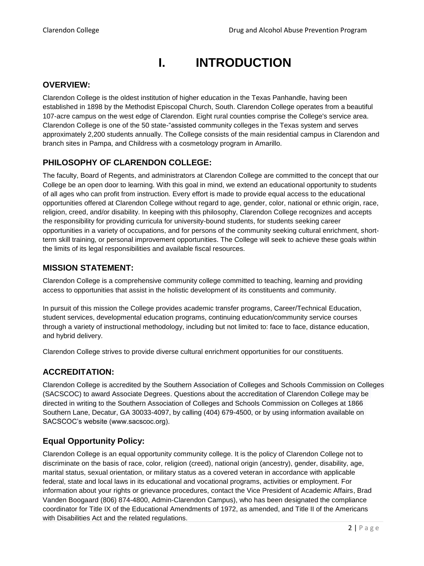## **I. INTRODUCTION**

#### <span id="page-2-0"></span>**OVERVIEW:**

Clarendon College is the oldest institution of higher education in the Texas Panhandle, having been established in 1898 by the Methodist Episcopal Church, South. Clarendon College operates from a beautiful 107-acre campus on the west edge of Clarendon. Eight rural counties comprise the College's service area. Clarendon College is one of the 50 state-"assisted community colleges in the Texas system and serves approximately 2,200 students annually. The College consists of the main residential campus in Clarendon and branch sites in Pampa, and Childress with a cosmetology program in Amarillo.

#### **PHILOSOPHY OF CLARENDON COLLEGE:**

The faculty, Board of Regents, and administrators at Clarendon College are committed to the concept that our College be an open door to learning. With this goal in mind, we extend an educational opportunity to students of all ages who can profit from instruction. Every effort is made to provide equal access to the educational opportunities offered at Clarendon College without regard to age, gender, color, national or ethnic origin, race, religion, creed, and/or disability. In keeping with this philosophy, Clarendon College recognizes and accepts the responsibility for providing curricula for university-bound students, for students seeking career opportunities in a variety of occupations, and for persons of the community seeking cultural enrichment, shortterm skill training, or personal improvement opportunities. The College will seek to achieve these goals within the limits of its legal responsibilities and available fiscal resources.

#### **MISSION STATEMENT:**

Clarendon College is a comprehensive community college committed to teaching, learning and providing access to opportunities that assist in the holistic development of its constituents and community.

In pursuit of this mission the College provides academic transfer programs, Career/Technical Education, student services, developmental education programs, continuing education/community service courses through a variety of instructional methodology, including but not limited to: face to face, distance education, and hybrid delivery.

Clarendon College strives to provide diverse cultural enrichment opportunities for our constituents.

#### **ACCREDITATION:**

Clarendon College is accredited by the Southern Association of Colleges and Schools Commission on Colleges (SACSCOC) to award Associate Degrees. Questions about the accreditation of Clarendon College may be directed in writing to the Southern Association of Colleges and Schools Commission on Colleges at 1866 Southern Lane, Decatur, GA 30033-4097, by calling (404) 679-4500, or by using information available on SACSCOC's website (www.sacscoc.org).

#### **Equal Opportunity Policy:**

Clarendon College is an equal opportunity community college. It is the policy of Clarendon College not to discriminate on the basis of race, color, religion (creed), national origin (ancestry), gender, disability, age, marital status, sexual orientation, or military status as a covered veteran in accordance with applicable federal, state and local laws in its educational and vocational programs, activities or employment. For information about your rights or grievance procedures, contact the Vice President of Academic Affairs, Brad Vanden Boogaard (806) 874-4800, Admin-Clarendon Campus), who has been designated the compliance coordinator for Title IX of the Educational Amendments of 1972, as amended, and Title II of the Americans with Disabilities Act and the related regulations.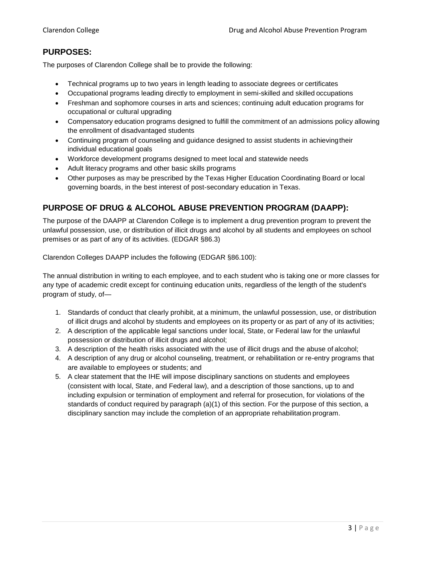#### **PURPOSES:**

The purposes of Clarendon College shall be to provide the following:

- Technical programs up to two years in length leading to associate degrees or certificates
- Occupational programs leading directly to employment in semi-skilled and skilled occupations
- Freshman and sophomore courses in arts and sciences; continuing adult education programs for occupational or cultural upgrading
- Compensatory education programs designed to fulfill the commitment of an admissions policy allowing the enrollment of disadvantaged students
- Continuing program of counseling and guidance designed to assist students in achievingtheir individual educational goals
- Workforce development programs designed to meet local and statewide needs
- Adult literacy programs and other basic skills programs
- Other purposes as may be prescribed by the Texas Higher Education Coordinating Board or local governing boards, in the best interest of post-secondary education in Texas.

#### **PURPOSE OF DRUG & ALCOHOL ABUSE PREVENTION PROGRAM (DAAPP):**

The purpose of the DAAPP at Clarendon College is to implement a drug prevention program to prevent the unlawful possession, use, or distribution of illicit drugs and alcohol by all students and employees on school premises or as part of any of its activities. (EDGAR §86.3)

Clarendon Colleges DAAPP includes the following (EDGAR §86.100):

The annual distribution in writing to each employee, and to each student who is taking one or more classes for any type of academic credit except for continuing education units, regardless of the length of the student's program of study, of—

- 1. Standards of conduct that clearly prohibit, at a minimum, the unlawful possession, use, or distribution of illicit drugs and alcohol by students and employees on its property or as part of any of its activities;
- 2. A description of the applicable legal sanctions under local, State, or Federal law for the unlawful possession or distribution of illicit drugs and alcohol;
- 3. A description of the health risks associated with the use of illicit drugs and the abuse of alcohol;
- 4. A description of any drug or alcohol counseling, treatment, or rehabilitation or re-entry programs that are available to employees or students; and
- 5. A clear statement that the IHE will impose disciplinary sanctions on students and employees (consistent with local, State, and Federal law), and a description of those sanctions, up to and including expulsion or termination of employment and referral for prosecution, for violations of the standards of conduct required by paragraph (a)(1) of this section. For the purpose of this section, a disciplinary sanction may include the completion of an appropriate rehabilitation program.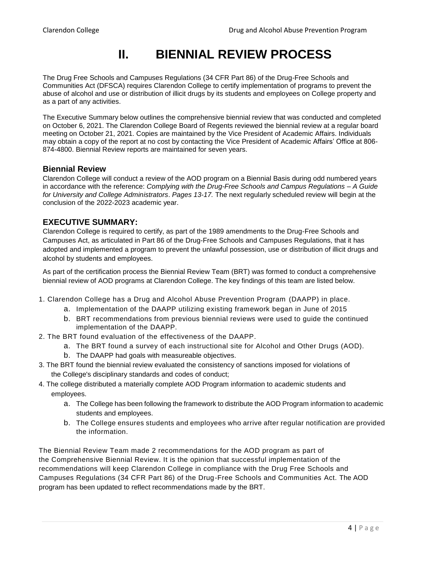### **II. BIENNIAL REVIEW PROCESS**

<span id="page-4-0"></span>The Drug Free Schools and Campuses Regulations (34 CFR Part 86) of the Drug-Free Schools and Communities Act (DFSCA) requires Clarendon College to certify implementation of programs to prevent the abuse of alcohol and use or distribution of illicit drugs by its students and employees on College property and as a part of any activities.

The Executive Summary below outlines the comprehensive biennial review that was conducted and completed on October 6, 2021. The Clarendon College Board of Regents reviewed the biennial review at a regular board meeting on October 21, 2021. Copies are maintained by the Vice President of Academic Affairs. Individuals may obtain a copy of the report at no cost by contacting the Vice President of Academic Affairs' Office at 806- 874-4800. Biennial Review reports are maintained for seven years.

#### **Biennial Review**

Clarendon College will conduct a review of the AOD program on a Biennial Basis during odd numbered years in accordance with the reference: *Complying with the Drug-Free Schools and Campus Regulations – A Guide for University and College Administrators*. *Pages 13-17.* The next regularly scheduled review will begin at the conclusion of the 2022-2023 academic year.

#### **EXECUTIVE SUMMARY:**

Clarendon College is required to certify, as part of the 1989 amendments to the Drug-Free Schools and Campuses Act, as articulated in Part 86 of the Drug-Free Schools and Campuses Regulations, that it has adopted and implemented a program to prevent the unlawful possession, use or distribution of illicit drugs and alcohol by students and employees.

As part of the certification process the Biennial Review Team (BRT) was formed to conduct a comprehensive biennial review of AOD programs at Clarendon College. The key findings of this team are listed below.

- 1. Clarendon College has a Drug and Alcohol Abuse Prevention Program (DAAPP) in place.
	- a. Implementation of the DAAPP utilizing existing framework began in June of 2015
	- b. BRT recommendations from previous biennial reviews were used to guide the continued implementation of the DAAPP.
- 2. The BRT found evaluation of the effectiveness of the DAAPP.
	- a. The BRT found a survey of each instructional site for Alcohol and Other Drugs (AOD).
	- b. The DAAPP had goals with measureable objectives.
- 3. The BRT found the biennial review evaluated the consistency of sanctions imposed for violations of the College's disciplinary standards and codes of conduct;
- 4. The college distributed a materially complete AOD Program information to academic students and employees.
	- a. The College has been following the framework to distribute the AOD Program information to academic students and employees.
	- b. The College ensures students and employees who arrive after regular notification are provided the information.

The Biennial Review Team made 2 recommendations for the AOD program as part of the Comprehensive Biennial Review. It is the opinion that successful implementation of the recommendations will keep Clarendon College in compliance with the Drug Free Schools and Campuses Regulations (34 CFR Part 86) of the Drug-Free Schools and Communities Act. The AOD program has been updated to reflect recommendations made by the BRT.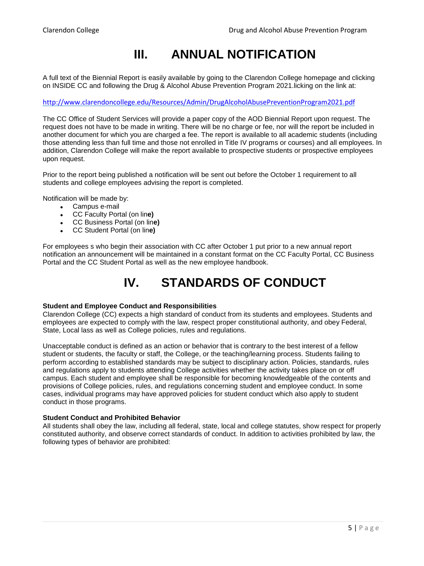## **III. ANNUAL NOTIFICATION**

<span id="page-5-0"></span>A full text of the Biennial Report is easily available by going to the Clarendon College homepage and clicking on INSIDE CC and following the Drug & Alcohol Abuse Prevention Program 2021.licking on the link at:

<http://www.clarendoncollege.edu/Resources/Admin/DrugAlcoholAbusePreventionProgram2021.pdf>

The CC Office of Student Services will provide a paper copy of the AOD Biennial Report upon request. The request does not have to be made in writing. There will be no charge or fee, nor will the report be included in another document for which you are charged a fee. The report is available to all academic students (including those attending less than full time and those not enrolled in Title IV programs or courses) and all employees. In addition, Clarendon College will make the report available to prospective students or prospective employees upon request.

Prior to the report being published a notification will be sent out before the October 1 requirement to all students and college employees advising the report is completed.

Notification will be made by:

- Campus e-mail
- CC Faculty Portal (on lin**e)**
- CC Business Portal (on lin**e)**
- CC Student Portal (on lin**e)**

<span id="page-5-1"></span>For employees s who begin their association with CC after October 1 put prior to a new annual report notification an announcement will be maintained in a constant format on the CC Faculty Portal, CC Business Portal and the CC Student Portal as well as the new employee handbook.

## **IV. STANDARDS OF CONDUCT**

#### **Student and Employee Conduct and Responsibilities**

Clarendon College (CC) expects a high standard of conduct from its students and employees. Students and employees are expected to comply with the law, respect proper constitutional authority, and obey Federal, State, Local lass as well as College policies, rules and regulations.

Unacceptable conduct is defined as an action or behavior that is contrary to the best interest of a fellow student or students, the faculty or staff, the College, or the teaching/learning process. Students failing to perform according to established standards may be subject to disciplinary action. Policies, standards, rules and regulations apply to students attending College activities whether the activity takes place on or off campus. Each student and employee shall be responsible for becoming knowledgeable of the contents and provisions of College policies, rules, and regulations concerning student and employee conduct. In some cases, individual programs may have approved policies for student conduct which also apply to student conduct in those programs.

#### **Student Conduct and Prohibited Behavior**

All students shall obey the law, including all federal, state, local and college statutes, show respect for properly constituted authority, and observe correct standards of conduct. In addition to activities prohibited by law, the following types of behavior are prohibited: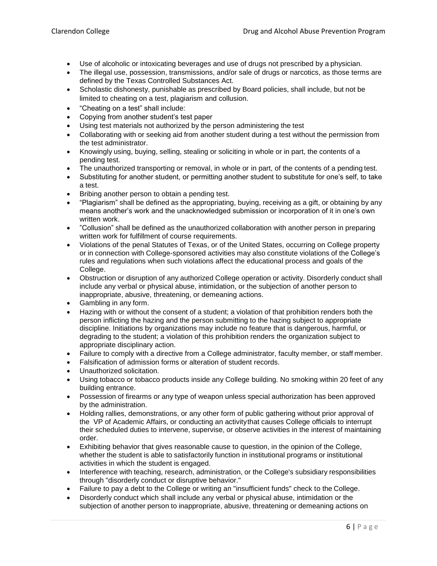- Use of alcoholic or intoxicating beverages and use of drugs not prescribed by a physician.
- The illegal use, possession, transmissions, and/or sale of drugs or narcotics, as those terms are defined by the Texas Controlled Substances Act.
- Scholastic dishonesty, punishable as prescribed by Board policies, shall include, but not be limited to cheating on a test, plagiarism and collusion.
- "Cheating on a test" shall include:
- Copying from another student's test paper
- Using test materials not authorized by the person administering the test
- Collaborating with or seeking aid from another student during a test without the permission from the test administrator.
- Knowingly using, buying, selling, stealing or soliciting in whole or in part, the contents of a pending test.
- The unauthorized transporting or removal, in whole or in part, of the contents of a pending test.
- Substituting for another student, or permitting another student to substitute for one's self, to take a test.
- Bribing another person to obtain a pending test.
- "Plagiarism" shall be defined as the appropriating, buying, receiving as a gift, or obtaining by any means another's work and the unacknowledged submission or incorporation of it in one's own written work.
- "Collusion" shall be defined as the unauthorized collaboration with another person in preparing written work for fulfillment of course requirements.
- Violations of the penal Statutes of Texas, or of the United States, occurring on College property or in connection with College-sponsored activities may also constitute violations of the College's rules and regulations when such violations affect the educational process and goals of the College.
- Obstruction or disruption of any authorized College operation or activity. Disorderly conduct shall include any verbal or physical abuse, intimidation, or the subjection of another person to inappropriate, abusive, threatening, or demeaning actions.
- Gambling in any form.
- Hazing with or without the consent of a student; a violation of that prohibition renders both the person inflicting the hazing and the person submitting to the hazing subject to appropriate discipline. Initiations by organizations may include no feature that is dangerous, harmful, or degrading to the student; a violation of this prohibition renders the organization subject to appropriate disciplinary action.
- Failure to comply with a directive from a College administrator, faculty member, or staff member.
- Falsification of admission forms or alteration of student records.
- Unauthorized solicitation.
- Using tobacco or tobacco products inside any College building. No smoking within 20 feet of any building entrance.
- Possession of firearms or any type of weapon unless special authorization has been approved by the administration.
- Holding rallies, demonstrations, or any other form of public gathering without prior approval of the VP of Academic Affairs, or conducting an activitythat causes College officials to interrupt their scheduled duties to intervene, supervise, or observe activities in the interest of maintaining order.
- Exhibiting behavior that gives reasonable cause to question, in the opinion of the College, whether the student is able to satisfactorily function in institutional programs or institutional activities in which the student is engaged.
- Interference with teaching, research, administration, or the College's subsidiary responsibilities through "disorderly conduct or disruptive behavior."
- Failure to pay a debt to the College or writing an "insufficient funds" check to the College.
- Disorderly conduct which shall include any verbal or physical abuse, intimidation or the subjection of another person to inappropriate, abusive, threatening or demeaning actions on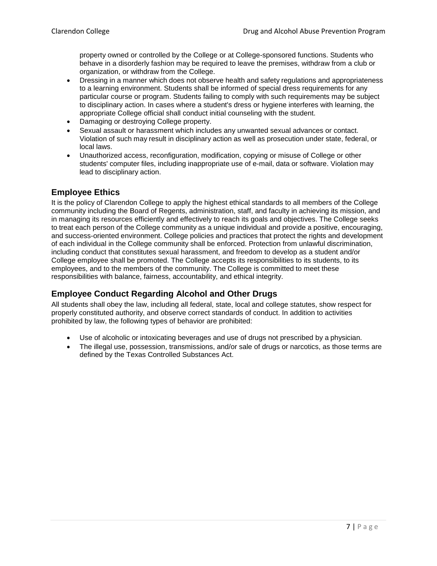property owned or controlled by the College or at College-sponsored functions. Students who behave in a disorderly fashion may be required to leave the premises, withdraw from a club or organization, or withdraw from the College.

- Dressing in a manner which does not observe health and safety regulations and appropriateness to a learning environment. Students shall be informed of special dress requirements for any particular course or program. Students failing to comply with such requirements may be subject to disciplinary action. In cases where a student's dress or hygiene interferes with learning, the appropriate College official shall conduct initial counseling with the student.
- Damaging or destroying College property.
- Sexual assault or harassment which includes any unwanted sexual advances or contact. Violation of such may result in disciplinary action as well as prosecution under state, federal, or local laws.
- Unauthorized access, reconfiguration, modification, copying or misuse of College or other students' computer files, including inappropriate use of e-mail, data or software. Violation may lead to disciplinary action.

#### **Employee Ethics**

It is the policy of Clarendon College to apply the highest ethical standards to all members of the College community including the Board of Regents, administration, staff, and faculty in achieving its mission, and in managing its resources efficiently and effectively to reach its goals and objectives. The College seeks to treat each person of the College community as a unique individual and provide a positive, encouraging, and success-oriented environment. College policies and practices that protect the rights and development of each individual in the College community shall be enforced. Protection from unlawful discrimination, including conduct that constitutes sexual harassment, and freedom to develop as a student and/or College employee shall be promoted. The College accepts its responsibilities to its students, to its employees, and to the members of the community. The College is committed to meet these responsibilities with balance, fairness, accountability, and ethical integrity.

#### **Employee Conduct Regarding Alcohol and Other Drugs**

All students shall obey the law, including all federal, state, local and college statutes, show respect for properly constituted authority, and observe correct standards of conduct. In addition to activities prohibited by law, the following types of behavior are prohibited:

- Use of alcoholic or intoxicating beverages and use of drugs not prescribed by a physician.
- The illegal use, possession, transmissions, and/or sale of drugs or narcotics, as those terms are defined by the Texas Controlled Substances Act.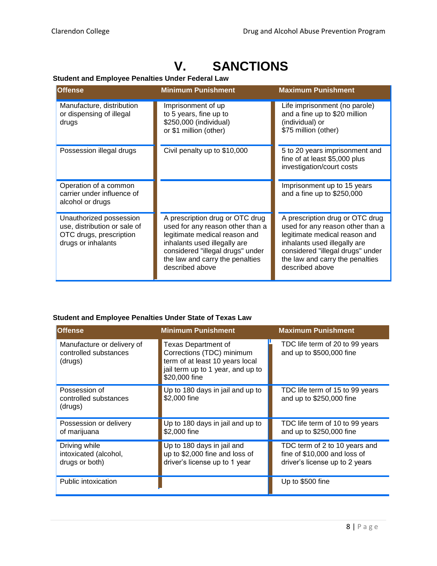## **V. SANCTIONS**

#### <span id="page-8-0"></span>**Student and Employee Penalties Under Federal Law**

| <b>Offense</b>                                                                                           | <b>Minimum Punishment</b>                                                                                                                                                                                                      | <b>Maximum Punishment</b>                                                                                                                                                                                                      |
|----------------------------------------------------------------------------------------------------------|--------------------------------------------------------------------------------------------------------------------------------------------------------------------------------------------------------------------------------|--------------------------------------------------------------------------------------------------------------------------------------------------------------------------------------------------------------------------------|
| Manufacture, distribution<br>or dispensing of illegal<br>drugs                                           | Imprisonment of up<br>to 5 years, fine up to<br>\$250,000 (individual)<br>or \$1 million (other)                                                                                                                               | Life imprisonment (no parole)<br>and a fine up to \$20 million<br>(individual) or<br>\$75 million (other)                                                                                                                      |
| Possession illegal drugs                                                                                 | Civil penalty up to \$10,000                                                                                                                                                                                                   | 5 to 20 years imprisonment and<br>fine of at least \$5,000 plus<br>investigation/court costs                                                                                                                                   |
| Operation of a common<br>carrier under influence of<br>alcohol or drugs                                  |                                                                                                                                                                                                                                | Imprisonment up to 15 years<br>and a fine up to $$250,000$                                                                                                                                                                     |
| Unauthorized possession<br>use, distribution or sale of<br>OTC drugs, prescription<br>drugs or inhalants | A prescription drug or OTC drug<br>used for any reason other than a<br>legitimate medical reason and<br>inhalants used illegally are<br>considered "illegal drugs" under<br>the law and carry the penalties<br>described above | A prescription drug or OTC drug<br>used for any reason other than a<br>legitimate medical reason and<br>inhalants used illegally are<br>considered "illegal drugs" under<br>the law and carry the penalties<br>described above |

#### **Student and Employee Penalties Under State of Texas Law**

| <b>Offense</b>                                                 | <b>Minimum Punishment</b>                                                                                                                        | <b>Maximum Punishment</b>                                                                       |
|----------------------------------------------------------------|--------------------------------------------------------------------------------------------------------------------------------------------------|-------------------------------------------------------------------------------------------------|
| Manufacture or delivery of<br>controlled substances<br>(drugs) | <b>Texas Department of</b><br>Corrections (TDC) minimum<br>term of at least 10 years local<br>jail term up to 1 year, and up to<br>\$20,000 fine | TDC life term of 20 to 99 years<br>and up to \$500,000 fine                                     |
| Possession of<br>controlled substances<br>(drugs)              | Up to 180 days in jail and up to<br>\$2,000 fine                                                                                                 | TDC life term of 15 to 99 years<br>and up to \$250,000 fine                                     |
| Possession or delivery<br>of marijuana                         | Up to 180 days in jail and up to<br>\$2,000 fine                                                                                                 | TDC life term of 10 to 99 years<br>and up to \$250,000 fine                                     |
| Driving while<br>intoxicated (alcohol,<br>drugs or both)       | Up to 180 days in jail and<br>up to \$2,000 fine and loss of<br>driver's license up to 1 year                                                    | TDC term of 2 to 10 years and<br>fine of \$10,000 and loss of<br>driver's license up to 2 years |
| Public intoxication                                            |                                                                                                                                                  | Up to \$500 fine                                                                                |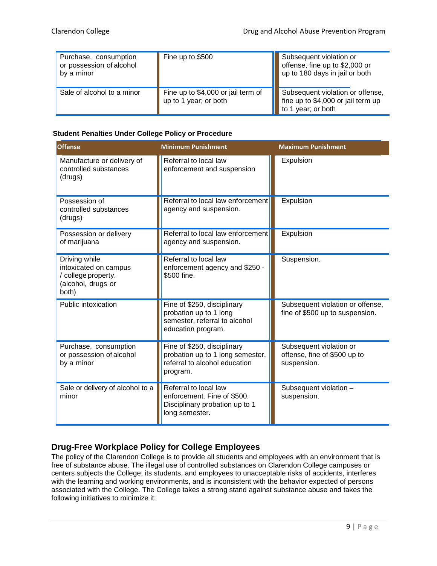| Purchase, consumption<br>or possession of alcohol<br>by a minor | Fine up to \$500                                            | Subsequent violation or<br>offense, fine up to \$2,000 or<br>up to 180 days in jail or both  |
|-----------------------------------------------------------------|-------------------------------------------------------------|----------------------------------------------------------------------------------------------|
| Sale of alcohol to a minor                                      | Fine up to \$4,000 or jail term of<br>up to 1 year; or both | Subsequent violation or offense,<br>fine up to \$4,000 or jail term up<br>to 1 year; or both |

#### **Student Penalties Under College Policy or Procedure**

| <b>Offense</b>                                                                               | <b>Minimum Punishment</b>                                                                                    | <b>Maximum Punishment</b>                                              |
|----------------------------------------------------------------------------------------------|--------------------------------------------------------------------------------------------------------------|------------------------------------------------------------------------|
| Manufacture or delivery of<br>controlled substances<br>(drugs)                               | Referral to local law<br>enforcement and suspension                                                          | Expulsion                                                              |
| Possession of<br>controlled substances<br>(drugs)                                            | Referral to local law enforcement<br>agency and suspension.                                                  | Expulsion                                                              |
| Possession or delivery<br>of marijuana                                                       | Referral to local law enforcement<br>agency and suspension.                                                  | Expulsion                                                              |
| Driving while<br>intoxicated on campus<br>/ college property.<br>(alcohol, drugs or<br>both) | Referral to local law<br>enforcement agency and \$250 -<br>\$500 fine.                                       | Suspension.                                                            |
| Public intoxication                                                                          | Fine of \$250, disciplinary<br>probation up to 1 long<br>semester, referral to alcohol<br>education program. | Subsequent violation or offense,<br>fine of \$500 up to suspension.    |
| Purchase, consumption<br>or possession of alcohol<br>by a minor                              | Fine of \$250, disciplinary<br>probation up to 1 long semester,<br>referral to alcohol education<br>program. | Subsequent violation or<br>offense, fine of \$500 up to<br>suspension. |
| Sale or delivery of alcohol to a<br>minor                                                    | Referral to local law<br>enforcement. Fine of \$500.<br>Disciplinary probation up to 1<br>long semester.     | Subsequent violation -<br>suspension.                                  |

#### **Drug-Free Workplace Policy for College Employees**

The policy of the Clarendon College is to provide all students and employees with an environment that is free of substance abuse. The illegal use of controlled substances on Clarendon College campuses or centers subjects the College, its students, and employees to unacceptable risks of accidents, interferes with the learning and working environments, and is inconsistent with the behavior expected of persons associated with the College. The College takes a strong stand against substance abuse and takes the following initiatives to minimize it: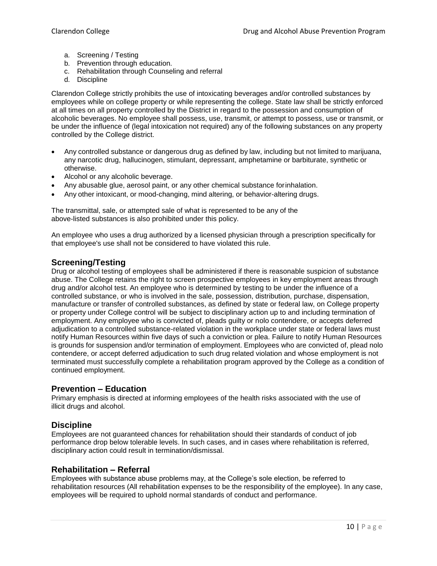- a. Screening / Testing
- b. Prevention through education.
- c. Rehabilitation through Counseling and referral
- d. Discipline

Clarendon College strictly prohibits the use of intoxicating beverages and/or controlled substances by employees while on college property or while representing the college. State law shall be strictly enforced at all times on all property controlled by the District in regard to the possession and consumption of alcoholic beverages. No employee shall possess, use, transmit, or attempt to possess, use or transmit, or be under the influence of (legal intoxication not required) any of the following substances on any property controlled by the College district.

- Any controlled substance or dangerous drug as defined by law, including but not limited to marijuana, any narcotic drug, hallucinogen, stimulant, depressant, amphetamine or barbiturate, synthetic or otherwise.
- Alcohol or any alcoholic beverage.
- Any abusable glue, aerosol paint, or any other chemical substance forinhalation.
- Any other intoxicant, or mood-changing, mind altering, or behavior-altering drugs.

The transmittal, sale, or attempted sale of what is represented to be any of the above-listed substances is also prohibited under this policy.

An employee who uses a drug authorized by a licensed physician through a prescription specifically for that employee's use shall not be considered to have violated this rule.

#### **Screening/Testing**

Drug or alcohol testing of employees shall be administered if there is reasonable suspicion of substance abuse. The College retains the right to screen prospective employees in key employment areas through drug and/or alcohol test. An employee who is determined by testing to be under the influence of a controlled substance, or who is involved in the sale, possession, distribution, purchase, dispensation, manufacture or transfer of controlled substances, as defined by state or federal law, on College property or property under College control will be subject to disciplinary action up to and including termination of employment. Any employee who is convicted of, pleads guilty or nolo contendere, or accepts deferred adjudication to a controlled substance-related violation in the workplace under state or federal laws must notify Human Resources within five days of such a conviction or plea. Failure to notify Human Resources is grounds for suspension and/or termination of employment. Employees who are convicted of, plead nolo contendere, or accept deferred adjudication to such drug related violation and whose employment is not terminated must successfully complete a rehabilitation program approved by the College as a condition of continued employment.

#### **Prevention – Education**

Primary emphasis is directed at informing employees of the health risks associated with the use of illicit drugs and alcohol.

#### **Discipline**

Employees are not guaranteed chances for rehabilitation should their standards of conduct of job performance drop below tolerable levels. In such cases, and in cases where rehabilitation is referred, disciplinary action could result in termination/dismissal.

#### **Rehabilitation – Referral**

Employees with substance abuse problems may, at the College's sole election, be referred to rehabilitation resources (All rehabilitation expenses to be the responsibility of the employee). In any case, employees will be required to uphold normal standards of conduct and performance.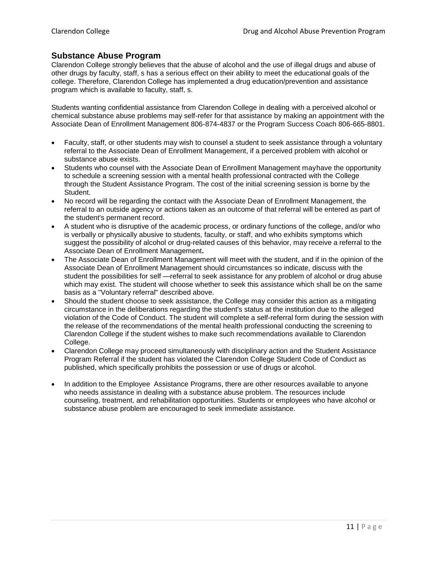#### **Substance Abuse Program**

Clarendon College strongly believes that the abuse of alcohol and the use of illegal drugs and abuse of other drugs by faculty, staff, s has a serious effect on their ability to meet the educational goals of the college. Therefore, Clarendon College has implemented a drug education/prevention and assistance program which is available to faculty, staff, s.

Students wanting confidential assistance from Clarendon College in dealing with a perceived alcohol or chemical substance abuse problems may self-refer for that assistance by making an appointment with the Associate Dean of Enrollment Management 806-874-4837 or the Program Success Coach 806-665-8801.

- Faculty, staff, or other students may wish to counsel a student to seek assistance through a voluntary referral to the Associate Dean of Enrollment Management, if a perceived problem with alcohol or substance abuse exists.
- Students who counsel with the Associate Dean of Enrollment Management mayhave the opportunity to schedule a screening session with a mental health professional contracted with the College through the Student Assistance Program. The cost of the initial screening session is borne by the Student.
- No record will be regarding the contact with the Associate Dean of Enrollment Management, the referral to an outside agency or actions taken as an outcome of that referral will be entered as part of the student's permanent record.
- A student who is disruptive of the academic process, or ordinary functions of the college, and/or who is verbally or physically abusive to students, faculty, or staff, and who exhibits symptoms which suggest the possibility of alcohol or drug-related causes of this behavior, may receive a referral to the Associate Dean of Enrollment Management**.**
- The Associate Dean of Enrollment Management will meet with the student, and if in the opinion of the Associate Dean of Enrollment Management should circumstances so indicate, discuss with the student the possibilities for self —referral to seek assistance for any problem of alcohol or drug abuse which may exist. The student will choose whether to seek this assistance which shall be on the same basis as a "Voluntary referral" described above.
- Should the student choose to seek assistance, the College may consider this action as a mitigating circumstance in the deliberations regarding the student's status at the institution due to the alleged violation of the Code of Conduct. The student will complete a self-referral form during the session with the release of the recommendations of the mental health professional conducting the screening to Clarendon College if the student wishes to make such recommendations available to Clarendon College.
- Clarendon College may proceed simultaneously with disciplinary action and the Student Assistance Program Referral if the student has violated the Clarendon College Student Code of Conduct as published, which specifically prohibits the possession or use of drugs or alcohol.
- In addition to the Employee Assistance Programs, there are other resources available to anyone who needs assistance in dealing with a substance abuse problem. The resources include counseling, treatment, and rehabilitation opportunities. Students or employees who have alcohol or substance abuse problem are encouraged to seek immediate assistance.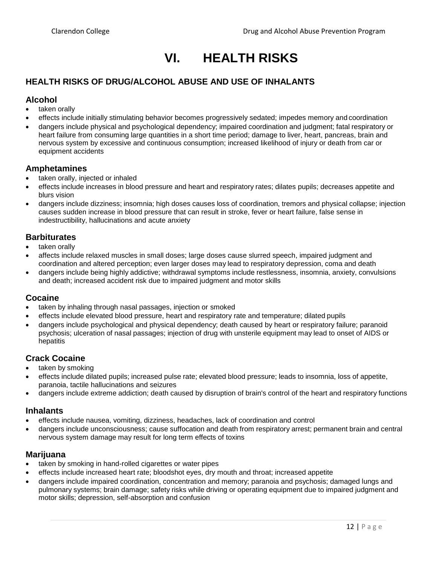## **VI. HEALTH RISKS**

#### <span id="page-12-0"></span>**HEALTH RISKS OF DRUG/ALCOHOL ABUSE AND USE OF INHALANTS**

#### **Alcohol**

- taken orally
- effects include initially stimulating behavior becomes progressively sedated; impedes memory and coordination
- dangers include physical and psychological dependency; impaired coordination and judgment; fatal respiratory or heart failure from consuming large quantities in a short time period; damage to liver, heart, pancreas, brain and nervous system by excessive and continuous consumption; increased likelihood of injury or death from car or equipment accidents

#### **Amphetamines**

- taken orally, injected or inhaled
- effects include increases in blood pressure and heart and respiratory rates; dilates pupils; decreases appetite and blurs vision
- dangers include dizziness; insomnia; high doses causes loss of coordination, tremors and physical collapse; injection causes sudden increase in blood pressure that can result in stroke, fever or heart failure, false sense in indestructibility, hallucinations and acute anxiety

#### **Barbiturates**

- taken orally
- affects include relaxed muscles in small doses; large doses cause slurred speech, impaired judgment and coordination and altered perception; even larger doses may lead to respiratory depression, coma and death
- dangers include being highly addictive; withdrawal symptoms include restlessness, insomnia, anxiety, convulsions and death; increased accident risk due to impaired judgment and motor skills

#### **Cocaine**

- taken by inhaling through nasal passages, injection or smoked
- effects include elevated blood pressure, heart and respiratory rate and temperature; dilated pupils
- dangers include psychological and physical dependency; death caused by heart or respiratory failure; paranoid psychosis; ulceration of nasal passages; injection of drug with unsterile equipment may lead to onset of AIDS or hepatitis

#### **Crack Cocaine**

- taken by smoking
- effects include dilated pupils; increased pulse rate; elevated blood pressure; leads to insomnia, loss of appetite, paranoia, tactile hallucinations and seizures
- dangers include extreme addiction; death caused by disruption of brain's control of the heart and respiratory functions

#### **Inhalants**

- effects include nausea, vomiting, dizziness, headaches, lack of coordination and control
- dangers include unconsciousness; cause suffocation and death from respiratory arrest; permanent brain and central nervous system damage may result for long term effects of toxins

#### **Marijuana**

- taken by smoking in hand-rolled cigarettes or water pipes
- effects include increased heart rate; bloodshot eyes, dry mouth and throat; increased appetite
- dangers include impaired coordination, concentration and memory; paranoia and psychosis; damaged lungs and pulmonary systems; brain damage; safety risks while driving or operating equipment due to impaired judgment and motor skills; depression, self-absorption and confusion